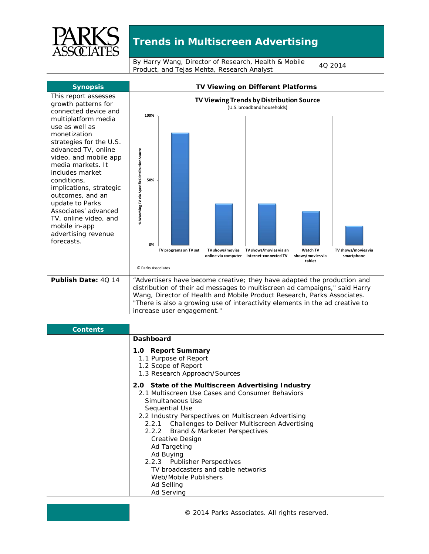

## **Trends in Multiscreen Advertising**

By Harry Wang, Director of Research, Health & Mobile By Harry wang, Director or Research, Health & Mobile  $40,2014$ <br>Product, and Tejas Mehta, Research Analyst



| <b>Contents</b> |                                                                                                                                                                                                                                                                                                                                                                                                                         |
|-----------------|-------------------------------------------------------------------------------------------------------------------------------------------------------------------------------------------------------------------------------------------------------------------------------------------------------------------------------------------------------------------------------------------------------------------------|
|                 | <b>Dashboard</b>                                                                                                                                                                                                                                                                                                                                                                                                        |
|                 | 1.0 Report Summary<br>1.1 Purpose of Report<br>1.2 Scope of Report<br>1.3 Research Approach/Sources                                                                                                                                                                                                                                                                                                                     |
|                 | 2.0 State of the Multiscreen Advertising Industry<br>2.1 Multiscreen Use Cases and Consumer Behaviors<br>Simultaneous Use<br>Sequential Use<br>2.2 Industry Perspectives on Multiscreen Advertising<br>2.2.1 Challenges to Deliver Multiscreen Advertising<br>2.2.2 Brand & Marketer Perspectives<br>Creative Design<br>Ad Targeting<br>Ad Buying<br>2.2.3 Publisher Perspectives<br>TV broadcasters and cable networks |
|                 | Web/Mobile Publishers<br>Ad Selling<br>Ad Serving                                                                                                                                                                                                                                                                                                                                                                       |

© 2014 Parks Associates. All rights reserved.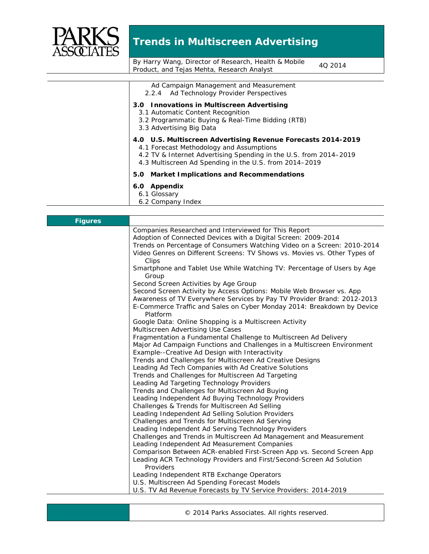

## **Trends in Multiscreen Advertising**

By Harry Wang, Director of Research, Health & Mobile By Harry wang, Director of Research, Health & Mobile 4Q 2014<br>Product, and Tejas Mehta, Research Analyst

| Ad Campaign Management and Measurement<br>Ad Technology Provider Perspectives<br>2.2.4                                                                                                                                                  |
|-----------------------------------------------------------------------------------------------------------------------------------------------------------------------------------------------------------------------------------------|
| 3.0 Innovations in Multiscreen Advertising<br>3.1 Automatic Content Recognition<br>3.2 Programmatic Buying & Real-Time Bidding (RTB)<br>3.3 Advertising Big Data                                                                        |
| 4.0 U.S. Multiscreen Advertising Revenue Forecasts 2014-2019<br>4.1 Forecast Methodology and Assumptions<br>4.2 TV & Internet Advertising Spending in the U.S. from 2014–2019<br>4.3 Multiscreen Ad Spending in the U.S. from 2014-2019 |
| 5.0 Market Implications and Recommendations                                                                                                                                                                                             |
| Appendix<br>6.0<br>6.1 Glossary<br>6.2 Company Index                                                                                                                                                                                    |
|                                                                                                                                                                                                                                         |

| <b>Figures</b> |                                                                                                                                                                                                                                                                                         |
|----------------|-----------------------------------------------------------------------------------------------------------------------------------------------------------------------------------------------------------------------------------------------------------------------------------------|
|                | Companies Researched and Interviewed for This Report<br>Adoption of Connected Devices with a Digital Screen: 2009-2014<br>Trends on Percentage of Consumers Watching Video on a Screen: 2010-2014<br>Video Genres on Different Screens: TV Shows vs. Movies vs. Other Types of<br>Clips |
|                | Smartphone and Tablet Use While Watching TV: Percentage of Users by Age<br>Group<br>Second Screen Activities by Age Group                                                                                                                                                               |
|                | Second Screen Activity by Access Options: Mobile Web Browser vs. App<br>Awareness of TV Everywhere Services by Pay TV Provider Brand: 2012-2013<br>E-Commerce Traffic and Sales on Cyber Monday 2014: Breakdown by Device<br>Platform                                                   |
|                | Google Data: Online Shopping is a Multiscreen Activity<br>Multiscreen Advertising Use Cases                                                                                                                                                                                             |
|                | Fragmentation a Fundamental Challenge to Multiscreen Ad Delivery<br>Major Ad Campaign Functions and Challenges in a Multiscreen Environment<br>Example--Creative Ad Design with Interactivity                                                                                           |
|                | Trends and Challenges for Multiscreen Ad Creative Designs<br>Leading Ad Tech Companies with Ad Creative Solutions<br>Trends and Challenges for Multiscreen Ad Targeting                                                                                                                 |
|                | Leading Ad Targeting Technology Providers<br>Trends and Challenges for Multiscreen Ad Buying                                                                                                                                                                                            |
|                | Leading Independent Ad Buying Technology Providers<br>Challenges & Trends for Multiscreen Ad Selling<br>Leading Independent Ad Selling Solution Providers                                                                                                                               |
|                | Challenges and Trends for Multiscreen Ad Serving<br>Leading Independent Ad Serving Technology Providers                                                                                                                                                                                 |
|                | Challenges and Trends in Multiscreen Ad Management and Measurement<br>Leading Independent Ad Measurement Companies<br>Comparison Between ACR-enabled First-Screen App vs. Second Screen App                                                                                             |
|                | Leading ACR Technology Providers and First/Second-Screen Ad Solution<br>Providers                                                                                                                                                                                                       |
|                | Leading Independent RTB Exchange Operators<br>U.S. Multiscreen Ad Spending Forecast Models<br>U.S. TV Ad Revenue Forecasts by TV Service Providers: 2014-2019                                                                                                                           |
|                |                                                                                                                                                                                                                                                                                         |